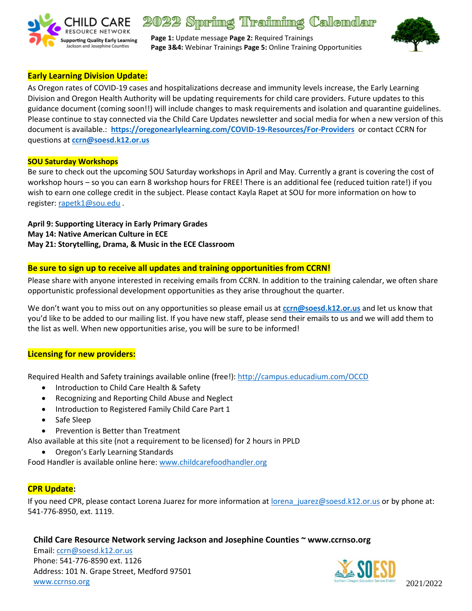



**Page 1:** Update message **Page 2:** Required Trainings **Page 3&4:** Webinar Trainings **Page 5:** Online Training Opportunities



# **Early Learning Division Update:**

As Oregon rates of COVID-19 cases and hospitalizations decrease and immunity levels increase, the Early Learning Division and Oregon Health Authority will be updating requirements for child care providers. Future updates to this guidance document (coming soon!!) will include changes to mask requirements and isolation and quarantine guidelines. Please continue to stay connected via the Child Care Updates newsletter and social media for when a new version of this document is available.: **<https://oregonearlylearning.com/COVID-19-Resources/For-Providers>**or contact CCRN for questions at **[ccrn@soesd.k12.or.us](mailto:ccrn@soesd.k12.or.us)**

### **SOU Saturday Workshops**

Be sure to check out the upcoming SOU Saturday workshops in April and May. Currently a grant is covering the cost of workshop hours – so you can earn 8 workshop hours for FREE! There is an additional fee (reduced tuition rate!) if you wish to earn one college credit in the subject. Please contact Kayla Rapet at SOU for more information on how to register[: rapetk1@sou.edu](mailto:rapetk1@sou.edu).

**April 9: Supporting Literacy in Early Primary Grades May 14: Native American Culture in ECE May 21: Storytelling, Drama, & Music in the ECE Classroom**

## **Be sure to sign up to receive all updates and training opportunities from CCRN!**

Please share with anyone interested in receiving emails from CCRN. In addition to the training calendar, we often share opportunistic professional development opportunities as they arise throughout the quarter.

We don't want you to miss out on any opportunities so please email us at **[ccrn@soesd.k12.or.us](mailto:ccrn@soesd.k12.or.us)** and let us know that you'd like to be added to our mailing list. If you have new staff, please send their emails to us and we will add them to the list as well. When new opportunities arise, you will be sure to be informed!

## **Licensing for new providers:**

Required Health and Safety trainings available online (free!)[: http://campus.educadium.com/OCCD](http://campus.educadium.com/OCCD)

- Introduction to Child Care Health & Safety
- Recognizing and Reporting Child Abuse and Neglect
- Introduction to Registered Family Child Care Part 1
- Safe Sleep
- Prevention is Better than Treatment

Also available at this site (not a requirement to be licensed) for 2 hours in PPLD

• Oregon's Early Learning Standards

Food Handler is available online here[: www.childcarefoodhandler.org](http://www.childcarefoodhandler.org/)

## **CPR Update:**

If you need CPR, please contact Lorena Juarez for more information at lorena juarez@soesd.k12.or.us or by phone at: 541-776-8950, ext. 1119.

## **Child Care Resource Network serving Jackson and Josephine Counties ~ www.ccrnso.org**

Email: [ccrn@soesd.k12.or.us](mailto:ccrn@soesd.k12.or.us) Phone: 541-776-8590 ext. 1126 Address: 101 N. Grape Street, Medford 97501 **WWW.CCFNSO.OFG** 2021/2022

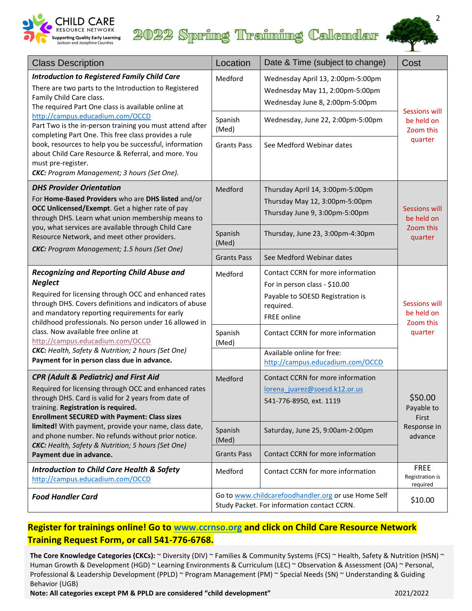

# 2022 Spring Training Calendar



| <b>Class Description</b>                                                                                                                                                                                                                                                                                                                                                                                                                                                                                                                     | Location                                                                                           | Date & Time (subject to change)                                                                                                                                                                                                           | Cost                                                       |
|----------------------------------------------------------------------------------------------------------------------------------------------------------------------------------------------------------------------------------------------------------------------------------------------------------------------------------------------------------------------------------------------------------------------------------------------------------------------------------------------------------------------------------------------|----------------------------------------------------------------------------------------------------|-------------------------------------------------------------------------------------------------------------------------------------------------------------------------------------------------------------------------------------------|------------------------------------------------------------|
| <b>Introduction to Registered Family Child Care</b><br>There are two parts to the Introduction to Registered<br>Family Child Care class.<br>The required Part One class is available online at<br>http://campus.educadium.com/OCCD<br>Part Two is the in-person training you must attend after<br>completing Part One. This free class provides a rule<br>book, resources to help you be successful, information<br>about Child Care Resource & Referral, and more. You<br>must pre-register.<br>CKC: Program Management; 3 hours (Set One). | Medford<br>Spanish<br>(Med)<br><b>Grants Pass</b>                                                  | Wednesday April 13, 2:00pm-5:00pm<br>Wednesday May 11, 2:00pm-5:00pm<br>Wednesday June 8, 2:00pm-5:00pm<br>Wednesday, June 22, 2:00pm-5:00pm<br>See Medford Webinar dates                                                                 | <b>Sessions will</b><br>be held on<br>Zoom this<br>quarter |
| <b>DHS Provider Orientation</b><br>For Home-Based Providers who are DHS listed and/or<br>OCC Unlicensed/Exempt. Get a higher rate of pay<br>through DHS. Learn what union membership means to<br>you, what services are available through Child Care<br>Resource Network, and meet other providers.<br><b>CKC:</b> Program Management; 1.5 hours (Set One)                                                                                                                                                                                   | Medford<br>Spanish<br>(Med)<br><b>Grants Pass</b>                                                  | Thursday April 14, 3:00pm-5:00pm<br>Thursday May 12, 3:00pm-5:00pm<br>Thursday June 9, 3:00pm-5:00pm<br>Thursday, June 23, 3:00pm-4:30pm<br>See Medford Webinar dates                                                                     | <b>Sessions will</b><br>be held on<br>Zoom this<br>quarter |
| <b>Recognizing and Reporting Child Abuse and</b><br><b>Neglect</b><br>Required for licensing through OCC and enhanced rates<br>through DHS. Covers definitions and indicators of abuse<br>and mandatory reporting requirements for early<br>childhood professionals. No person under 16 allowed in<br>class. Now available free online at<br>http://campus.educadium.com/OCCD<br>CKC: Health, Safety & Nutrition; 2 hours (Set One)<br>Payment for in person class due in advance.                                                           | Medford<br>Spanish<br>(Med)                                                                        | Contact CCRN for more information<br>For in person class - \$10.00<br>Payable to SOESD Registration is<br>required.<br>FREE online<br>Contact CCRN for more information<br>Available online for free:<br>http://campus.educadium.com/OCCD | <b>Sessions will</b><br>be held on<br>Zoom this<br>quarter |
| <b>CPR (Adult &amp; Pediatric) and First Aid</b><br>Required for licensing through OCC and enhanced rates<br>through DHS. Card is valid for 2 years from date of<br>training. Registration is required.<br><b>Enrollment SECURED with Payment: Class sizes</b><br>limited! With payment, provide your name, class date,<br>and phone number. No refunds without prior notice.<br>CKC: Health, Safety & Nutrition; 5 hours (Set One)<br>Payment due in advance.                                                                               | Medford<br>Spanish<br>(Med)<br><b>Grants Pass</b>                                                  | Contact CCRN for more information<br>lorena juarez@soesd.k12.or.us<br>541-776-8950, ext. 1119<br>Saturday, June 25, 9:00am-2:00pm<br>Contact CCRN for more information                                                                    | \$50.00<br>Payable to<br>First<br>Response in<br>advance   |
| <b>Introduction to Child Care Health &amp; Safety</b><br>http://campus.educadium.com/OCCD                                                                                                                                                                                                                                                                                                                                                                                                                                                    | Medford                                                                                            | Contact CCRN for more information                                                                                                                                                                                                         | <b>FREE</b><br>Registration is<br>required                 |
| <b>Food Handler Card</b>                                                                                                                                                                                                                                                                                                                                                                                                                                                                                                                     | Go to www.childcarefoodhandler.org or use Home Self<br>Study Packet. For information contact CCRN. |                                                                                                                                                                                                                                           | \$10.00                                                    |

# **Register for trainings online! Go to [www.ccrnso.org](http://www.ccrnso.org/) and click on Child Care Resource Network Training Request Form, or call 541-776-6768.**

The Core Knowledge Categories (CKCs): ~ Diversity (DIV) ~ Families & Community Systems (FCS) ~ Health, Safety & Nutrition (HSN) ~ Human Growth & Development (HGD) ~ Learning Environments & Curriculum (LEC) ~ Observation & Assessment (OA) ~ Personal, Professional & Leadership Development (PPLD) ~ Program Management (PM) ~ Special Needs (SN) ~ Understanding & Guiding Behavior (UGB)

**Note: All categories except PM & PPLD are considered "child development"** 2021/2022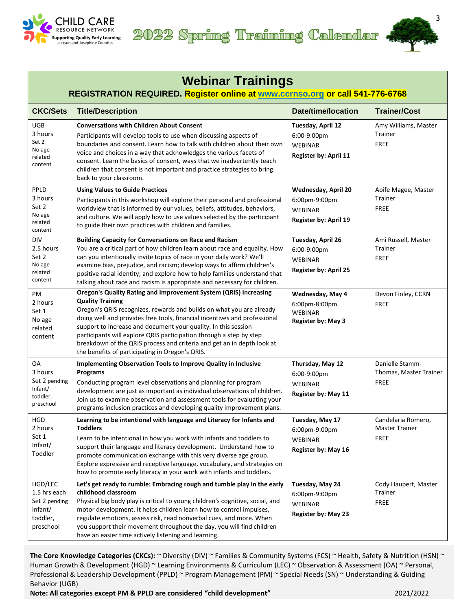

2022 Spring Training Calendar



# **Webinar Trainings**

# **REGISTRATION REQUIRED. Register online at [www.ccrnso.org](http://www.ccrnso.org/) or call 541-776-6768**

| <b>CKC/Sets</b>                                                              | <b>Title/Description</b>                                                                                                                                                                                                                                                                                                                                                                                                                                                                                                      | <b>Date/time/location</b>                                                          | <b>Trainer/Cost</b>                                        |
|------------------------------------------------------------------------------|-------------------------------------------------------------------------------------------------------------------------------------------------------------------------------------------------------------------------------------------------------------------------------------------------------------------------------------------------------------------------------------------------------------------------------------------------------------------------------------------------------------------------------|------------------------------------------------------------------------------------|------------------------------------------------------------|
| <b>UGB</b><br>3 hours<br>Set 2<br>No age<br>related<br>content               | <b>Conversations with Children About Consent</b><br>Participants will develop tools to use when discussing aspects of<br>boundaries and consent. Learn how to talk with children about their own<br>voice and choices in a way that acknowledges the various facets of<br>consent. Learn the basics of consent, ways that we inadvertently teach<br>children that consent is not important and practice strategies to bring<br>back to your classroom.                                                                        | Tuesday, April 12<br>6:00-9:00pm<br><b>WEBINAR</b><br>Register by: April 11        | Amy Williams, Master<br>Trainer<br><b>FREE</b>             |
| PPLD<br>3 hours<br>Set 2<br>No age<br>related<br>content                     | <b>Using Values to Guide Practices</b><br>Participants in this workshop will explore their personal and professional<br>worldview that is informed by our values, beliefs, attitudes, behaviors,<br>and culture. We will apply how to use values selected by the participant<br>to guide their own practices with children and families.                                                                                                                                                                                      | Wednesday, April 20<br>6:00pm-9:00pm<br><b>WEBINAR</b><br>Register by: April 19    | Aoife Magee, Master<br>Trainer<br><b>FREE</b>              |
| <b>DIV</b><br>2.5 hours<br>Set 2<br>No age<br>related<br>content             | <b>Building Capacity for Conversations on Race and Racism</b><br>You are a critical part of how children learn about race and equality. How<br>can you intentionally invite topics of race in your daily work? We'll<br>examine bias, prejudice, and racism; develop ways to affirm children's<br>positive racial identity; and explore how to help families understand that<br>talking about race and racism is appropriate and necessary for children.                                                                      | Tuesday, April 26<br>6:00-9:00pm<br><b>WEBINAR</b><br><b>Register by: April 25</b> | Ami Russell, Master<br>Trainer<br><b>FREE</b>              |
| PM<br>2 hours<br>Set 1<br>No age<br>related<br>content                       | <b>Oregon's Quality Rating and Improvement System (QRIS) Increasing</b><br><b>Quality Training</b><br>Oregon's QRIS recognizes, rewards and builds on what you are already<br>doing well and provides free tools, financial incentives and professional<br>support to increase and document your quality. In this session<br>participants will explore QRIS participation through a step by step<br>breakdown of the QRIS process and criteria and get an in depth look at<br>the benefits of participating in Oregon's QRIS. | Wednesday, May 4<br>6:00pm-8:00pm<br><b>WEBINAR</b><br>Register by: May 3          | Devon Finley, CCRN<br><b>FREE</b>                          |
| <b>OA</b><br>3 hours<br>Set 2 pending<br>Infant/<br>toddler,<br>preschool    | <b>Implementing Observation Tools to Improve Quality in Inclusive</b><br>Programs<br>Conducting program level observations and planning for program<br>development are just as important as individual observations of children.<br>Join us to examine observation and assessment tools for evaluating your<br>programs inclusion practices and developing quality improvement plans.                                                                                                                                         | Thursday, May 12<br>6:00-9:00pm<br><b>WEBINAR</b><br>Register by: May 11           | Danielle Stamm-<br>Thomas, Master Trainer<br><b>FREE</b>   |
| <b>HGD</b><br>2 hours<br>Set 1<br>Infant/<br>Toddler                         | Learning to be intentional with language and Literacy for Infants and<br><b>Toddlers</b><br>Learn to be intentional in how you work with infants and toddlers to<br>support their language and literacy development. Understand how to<br>promote communication exchange with this very diverse age group.<br>Explore expressive and receptive language, vocabulary, and strategies on<br>how to promote early literacy in your work with infants and toddlers.                                                               | Tuesday, May 17<br>6:00pm-9:00pm<br><b>WEBINAR</b><br>Register by: May 16          | Candelaria Romero,<br><b>Master Trainer</b><br><b>FREE</b> |
| HGD/LEC<br>1.5 hrs each<br>Set 2 pending<br>Infant/<br>toddler,<br>preschool | Let's get ready to rumble: Embracing rough and tumble play in the early<br>childhood classroom<br>Physical big body play is critical to young children's cognitive, social, and<br>motor development. It helps children learn how to control impulses,<br>regulate emotions, assess risk, read nonverbal cues, and more. When<br>you support their movement throughout the day, you will find children<br>have an easier time actively listening and learning.                                                                | Tuesday, May 24<br>6:00pm-9:00pm<br><b>WEBINAR</b><br>Register by: May 23          | Cody Haupert, Master<br>Trainer<br>FREE                    |

The Core Knowledge Categories (CKCs): ~ Diversity (DIV) ~ Families & Community Systems (FCS) ~ Health, Safety & Nutrition (HSN) ~ Human Growth & Development (HGD) ~ Learning Environments & Curriculum (LEC) ~ Observation & Assessment (OA) ~ Personal, Professional & Leadership Development (PPLD) ~ Program Management (PM) ~ Special Needs (SN) ~ Understanding & Guiding Behavior (UGB)

**Note: All categories except PM & PPLD are considered "child development"** 2021/2022